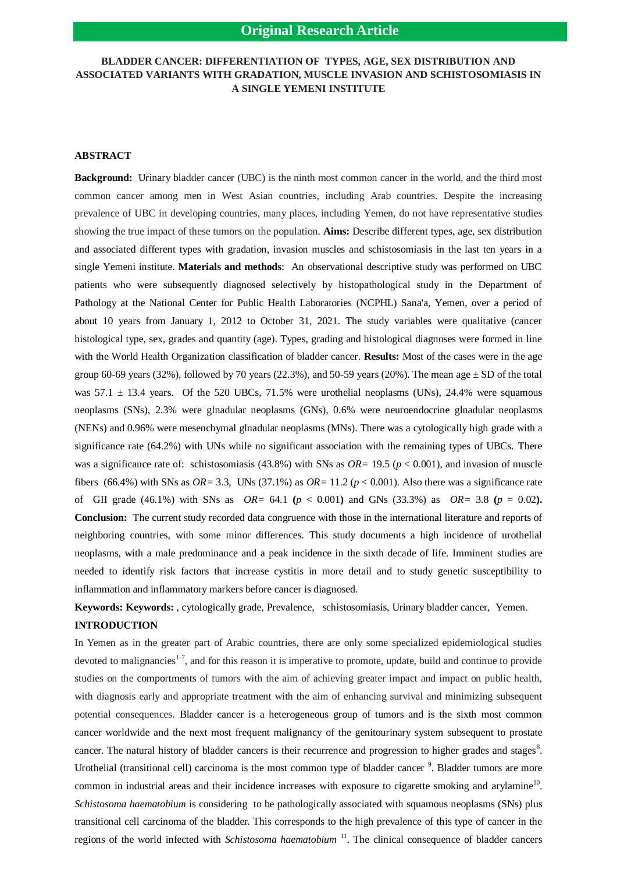# **BLADDER CANCER: DIFFERENTIATION OF TYPES, AGE, SEX DISTRIBUTION AND ASSOCIATED VARIANTS WITH GRADATION, MUSCLE INVASION AND SCHISTOSOMIASIS IN A SINGLE YEMENI INSTITUTE**

## **ABSTRACT**

**Background:** Urinary bladder cancer (UBC) is the ninth most common cancer in the world, and the third most common cancer among men in West Asian countries, including Arab countries. Despite the increasing prevalence of UBC in developing countries, many places, including Yemen, do not have representative studies showing the true impact of these tumors on the population. **Aims:** Describe different types, age, sex distribution and associated different types with gradation, invasion muscles and schistosomiasis in the last ten years in a single Yemeni institute. **Materials and methods**: An observational descriptive study was performed on UBC patients who were subsequently diagnosed selectively by histopathological study in the Department of Pathology at the National Center for Public Health Laboratories (NCPHL) Sana'a, Yemen, over a period of about 10 years from January 1, 2012 to October 31, 2021. The study variables were qualitative (cancer histological type, sex, grades and quantity (age). Types, grading and histological diagnoses were formed in line with the World Health Organization classification of bladder cancer. **Results:** Most of the cases were in the age group 60-69 years (32%), followed by 70 years (22.3%), and 50-59 years (20%). The mean age  $\pm$  SD of the total was  $57.1 \pm 13.4$  years. Of the 520 UBCs, 71.5% were urothelial neoplasms (UNs), 24.4% were squamous neoplasms (SNs), 2.3% were glnadular neoplasms (GNs), 0.6% were neuroendocrine glnadular neoplasms (NENs) and 0.96% were mesenchymal glnadular neoplasms (MNs). There was a cytologically high grade with a significance rate (64.2%) with UNs while no significant association with the remaining types of UBCs. There was a significance rate of: schistosomiasis (43.8%) with SNs as *OR*= 19.5 ( $p$  < 0.001), and invasion of muscle fibers (66.4%) with SNs as  $OR = 3.3$ , UNs (37.1%) as  $OR = 11.2$  ( $p < 0.001$ ). Also there was a significance rate of GII grade (46.1%) with SNs as *OR=* 64.1 **(***p* < 0.001**)** and GNs (33.3%) as *OR=* 3.8 **(***p* = 0.02**). Conclusion:** The current study recorded data congruence with those in the international literature and reports of neighboring countries, with some minor differences. This study documents a high incidence of urothelial neoplasms, with a male predominance and a peak incidence in the sixth decade of life. Imminent studies are needed to identify risk factors that increase cystitis in more detail and to study genetic susceptibility to inflammation and inflammatory markers before cancer is diagnosed.

**Keywords: Keywords:** , cytologically grade, Prevalence, schistosomiasis, Urinary bladder cancer, Yemen. **INTRODUCTION** 

In Yemen as in the greater part of Arabic countries, there are only some specialized epidemiological studies devoted to malignancies $1-7$ , and for this reason it is imperative to promote, update, build and continue to provide studies on the comportments of tumors with the aim of achieving greater impact and impact on public health, with diagnosis early and appropriate treatment with the aim of enhancing survival and minimizing subsequent potential consequences. Bladder cancer is a heterogeneous group of tumors and is the sixth most common cancer worldwide and the next most frequent malignancy of the genitourinary system subsequent to prostate cancer. The natural history of bladder cancers is their recurrence and progression to higher grades and stages $8$ . Urothelial (transitional cell) carcinoma is the most common type of bladder cancer <sup>9</sup>. Bladder tumors are more common in industrial areas and their incidence increases with exposure to cigarette smoking and arylamine<sup>10</sup>. *Schistosoma haematobium* is considering to be pathologically associated with squamous neoplasms (SNs) plus transitional cell carcinoma of the bladder. This corresponds to the high prevalence of this type of cancer in the regions of the world infected with *Schistosoma haematobium*<sup>11</sup>. The clinical consequence of bladder cancers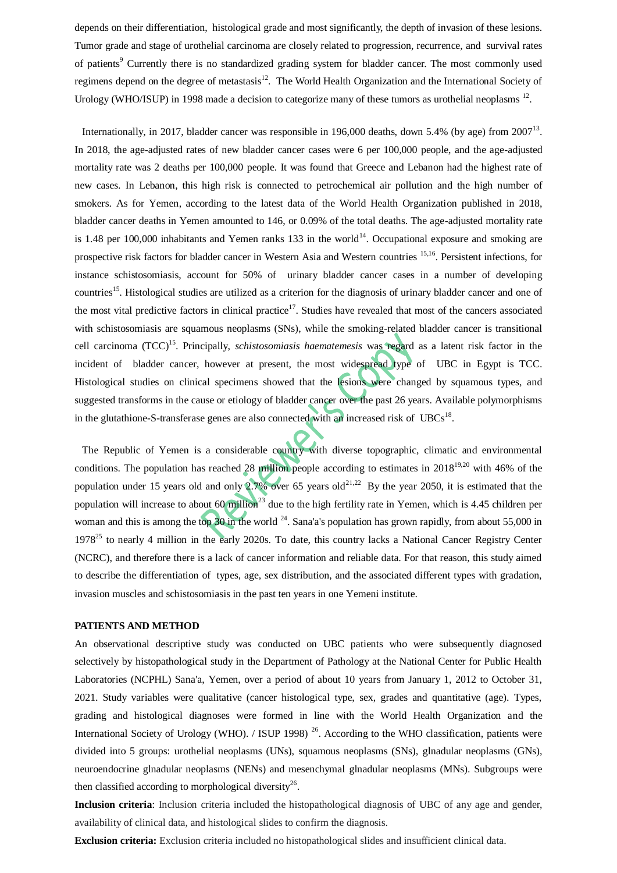depends on their differentiation, histological grade and most significantly, the depth of invasion of these lesions. Tumor grade and stage of urothelial carcinoma are closely related to progression, recurrence, and survival rates of patients<sup>9</sup> Currently there is no standardized grading system for bladder cancer. The most commonly used regimens depend on the degree of metastasis<sup>12</sup>. The World Health Organization and the International Society of Urology (WHO/ISUP) in 1998 made a decision to categorize many of these tumors as urothelial neoplasms  $^{12}$ .

Internationally, in 2017, bladder cancer was responsible in 196,000 deaths, down 5.4% (by age) from 2007<sup>13</sup>. In 2018, the age-adjusted rates of new bladder cancer cases were 6 per 100,000 people, and the age-adjusted mortality rate was 2 deaths per 100,000 people. It was found that Greece and Lebanon had the highest rate of new cases. In Lebanon, this high risk is connected to petrochemical air pollution and the high number of smokers. As for Yemen, according to the latest data of the World Health Organization published in 2018, bladder cancer deaths in Yemen amounted to 146, or 0.09% of the total deaths. The age-adjusted mortality rate is 1.48 per  $100,000$  inhabitants and Yemen ranks 133 in the world<sup>14</sup>. Occupational exposure and smoking are prospective risk factors for bladder cancer in Western Asia and Western countries 15,16. Persistent infections, for instance schistosomiasis, account for 50% of urinary bladder cancer cases in a number of developing countries<sup>15</sup>. Histological studies are utilized as a criterion for the diagnosis of urinary bladder cancer and one of the most vital predictive factors in clinical practice<sup>17</sup>. Studies have revealed that most of the cancers associated with schistosomiasis are squamous neoplasms (SNs), while the smoking-related bladder cancer is transitional cell carcinoma (TCC)<sup>15</sup>. Principally, *schistosomiasis haematemesis* was regard as a latent risk factor in the incident of bladder cancer, however at present, the most widespread type of UBC in Egypt is TCC. Histological studies on clinical specimens showed that the lesions were changed by squamous types, and suggested transforms in the cause or etiology of bladder cancer over the past 26 years. Available polymorphisms in the glutathione-S-transferase genes are also connected with an increased risk of  $UBCs^{18}$ .

 The Republic of Yemen is a considerable country with diverse topographic, climatic and environmental conditions. The population has reached 28 million people according to estimates in  $2018^{19,20}$  with 46% of the population under 15 years old and only 2.7% over 65 years old<sup>21,22</sup> By the year 2050, it is estimated that the population will increase to about 60 million<sup>23</sup> due to the high fertility rate in Yemen, which is 4.45 children per woman and this is among the top  $30$  in the world  $^{24}$ . Sana'a's population has grown rapidly, from about 55,000 in  $1978^{25}$  to nearly 4 million in the early 2020s. To date, this country lacks a National Cancer Registry Center (NCRC), and therefore there is a lack of cancer information and reliable data. For that reason, this study aimed to describe the differentiation of types, age, sex distribution, and the associated different types with gradation, invasion muscles and schistosomiasis in the past ten years in one Yemeni institute.

### **PATIENTS AND METHOD**

An observational descriptive study was conducted on UBC patients who were subsequently diagnosed selectively by histopathological study in the Department of Pathology at the National Center for Public Health Laboratories (NCPHL) Sana'a, Yemen, over a period of about 10 years from January 1, 2012 to October 31, 2021. Study variables were qualitative (cancer histological type, sex, grades and quantitative (age). Types, grading and histological diagnoses were formed in line with the World Health Organization and the International Society of Urology (WHO). / ISUP 1998)<sup>26</sup>. According to the WHO classification, patients were divided into 5 groups: urothelial neoplasms (UNs), squamous neoplasms (SNs), glnadular neoplasms (GNs), neuroendocrine glnadular neoplasms (NENs) and mesenchymal glnadular neoplasms (MNs). Subgroups were then classified according to morphological diversity<sup>26</sup>.

**Inclusion criteria**: Inclusion criteria included the histopathological diagnosis of UBC of any age and gender, availability of clinical data, and histological slides to confirm the diagnosis.

**Exclusion criteria:** Exclusion criteria included no histopathological slides and insufficient clinical data.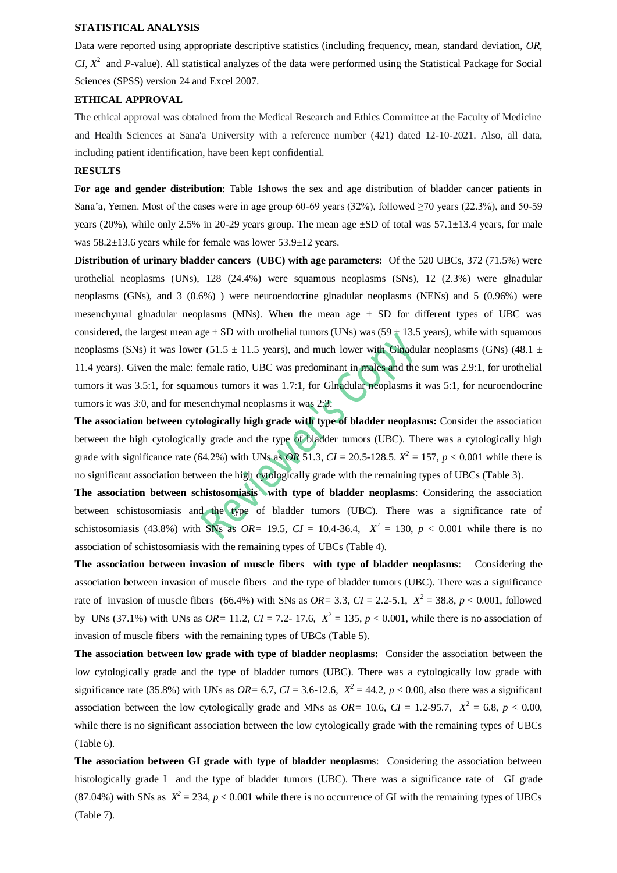### **STATISTICAL ANALYSIS**

Data were reported using appropriate descriptive statistics (including frequency, mean, standard deviation, *OR*,  $CI, X<sup>2</sup>$  and *P*-value). All statistical analyzes of the data were performed using the Statistical Package for Social Sciences (SPSS) version 24 and Excel 2007.

### **ETHICAL APPROVAL**

The ethical approval was obtained from the Medical Research and Ethics Committee at the Faculty of Medicine and Health Sciences at Sana'a University with a reference number (421) dated 12-10-2021. Also, all data, including patient identification, have been kept confidential.

#### **RESULTS**

**For age and gender distribution**: Table 1shows the sex and age distribution of bladder cancer patients in Sana'a, Yemen. Most of the cases were in age group 60-69 years (32%), followed ≥70 years (22.3%), and 50-59 years (20%), while only 2.5% in 20-29 years group. The mean age  $\pm$ SD of total was 57.1 $\pm$ 13.4 years, for male was 58.2±13.6 years while for female was lower 53.9±12 years.

**Distribution of urinary bladder cancers (UBC) with age parameters:** Of the 520 UBCs, 372 (71.5%) were urothelial neoplasms (UNs), 128 (24.4%) were squamous neoplasms (SNs), 12 (2.3%) were glnadular neoplasms (GNs), and 3 (0.6%) ) were neuroendocrine glnadular neoplasms (NENs) and 5 (0.96%) were mesenchymal glnadular neoplasms (MNs). When the mean age  $\pm$  SD for different types of UBC was considered, the largest mean age  $\pm$  SD with urothelial tumors (UNs) was (59  $\pm$  13.5 years), while with squamous neoplasms (SNs) it was lower (51.5  $\pm$  11.5 years), and much lower with Glnadular neoplasms (GNs) (48.1  $\pm$ 11.4 years). Given the male: female ratio, UBC was predominant in males and the sum was 2.9:1, for urothelial tumors it was 3.5:1, for squamous tumors it was 1.7:1, for Glnadular neoplasms it was 5:1, for neuroendocrine tumors it was 3:0, and for mesenchymal neoplasms it was 2:3.

**The association between cytologically high grade with type of bladder neoplasms:** Consider the association between the high cytologically grade and the type of bladder tumors (UBC). There was a cytologically high grade with significance rate (64.2%) with UNs as OR 51.3,  $CI = 20.5$ -128.5.  $X^2 = 157$ ,  $p < 0.001$  while there is no significant association between the high cytologically grade with the remaining types of UBCs (Table 3).

**The association between schistosomiasis with type of bladder neoplasms**: Considering the association between schistosomiasis and the type of bladder tumors (UBC). There was a significance rate of schistosomiasis (43.8%) with SNs as  $OR = 19.5$ ,  $CI = 10.4-36.4$ ,  $X^2 = 130$ ,  $p < 0.001$  while there is no association of schistosomiasis with the remaining types of UBCs (Table 4).

**The association between invasion of muscle fibers with type of bladder neoplasms**:Considering the association between invasion of muscle fibers and the type of bladder tumors (UBC). There was a significance rate of invasion of muscle fibers (66.4%) with SNs as  $OR = 3.3$ ,  $CI = 2.2-5.1$ ,  $X^2 = 38.8$ ,  $p < 0.001$ , followed by UNs (37.1%) with UNs as  $OR = 11.2$ ,  $CI = 7.2 - 17.6$ ,  $X^2 = 135$ ,  $p < 0.001$ , while there is no association of invasion of muscle fibers with the remaining types of UBCs (Table 5).

**The association between low grade with type of bladder neoplasms:** Consider the association between the low cytologically grade and the type of bladder tumors (UBC). There was a cytologically low grade with significance rate (35.8%) with UNs as  $OR = 6.7$ ,  $CI = 3.6$ -12.6,  $X^2 = 44.2$ ,  $p < 0.00$ , also there was a significant association between the low cytologically grade and MNs as  $OR = 10.6$ ,  $CI = 1.2-95.7$ ,  $X^2 = 6.8$ ,  $p < 0.00$ , while there is no significant association between the low cytologically grade with the remaining types of UBCs (Table 6).

**The association between GI grade with type of bladder neoplasms**: Considering the association between histologically grade I and the type of bladder tumors (UBC). There was a significance rate of GI grade (87.04%) with SNs as  $X^2 = 234$ ,  $p < 0.001$  while there is no occurrence of GI with the remaining types of UBCs (Table 7).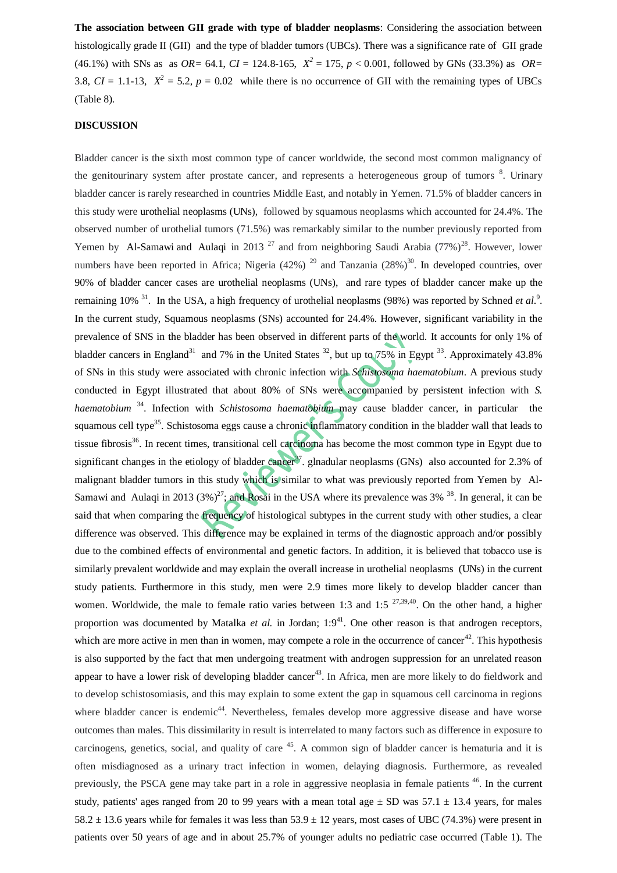**The association between GII grade with type of bladder neoplasms**: Considering the association between histologically grade II (GII) and the type of bladder tumors (UBCs). There was a significance rate of GII grade (46.1%) with SNs as as *OR* = 64.1, *CI* = 124.8-165,  $X^2 = 175$ ,  $p < 0.001$ , followed by GNs (33.3%) as *OR* = 3.8,  $CI = 1.1-13$ ,  $X^2 = 5.2$ ,  $p = 0.02$  while there is no occurrence of GII with the remaining types of UBCs (Table 8).

### **DISCUSSION**

Bladder cancer is the sixth most common type of cancer worldwide, the second most common malignancy of the genitourinary system after prostate cancer, and represents a heterogeneous group of tumors <sup>8</sup>. Urinary bladder cancer is rarely researched in countries Middle East, and notably in Yemen. 71.5% of bladder cancers in this study were urothelial neoplasms (UNs), followed by squamous neoplasms which accounted for 24.4%. The observed number of urothelial tumors (71.5%) was remarkably similar to the number previously reported from Yemen by [Al-Samawi](https://www.ncbi.nlm.nih.gov/pubmed/?term=Al-Samawi%20AS%5BAuthor%5D&cauthor=true&cauthor_uid=24044060) and [Aulaqi](https://www.ncbi.nlm.nih.gov/pubmed/?term=Aulaqi%20SM%5BAuthor%5D&cauthor=true&cauthor_uid=24044060) in 2013<sup>27</sup> and from neighboring Saudi Arabia  $(77%)^{28}$ . However, lower numbers have been reported in Africa; Nigeria (42%)  $^{29}$  and Tanzania (28%)<sup>30</sup>. In developed countries, over 90% of bladder cancer cases are urothelial neoplasms (UNs), and rare types of bladder cancer make up the remaining 10%<sup>31</sup>. In the USA, a high frequency of urothelial neoplasms (98%) was reported by Schned *et al.*<sup>9</sup>. In the current study, Squamous neoplasms (SNs) accounted for 24.4%. However, significant variability in the prevalence of SNS in the bladder has been observed in different parts of the world. It accounts for only 1% of bladder cancers in England<sup>31</sup> and 7% in the United States <sup>32</sup>, but up to 75% in Egypt <sup>33</sup>. Approximately 43.8% of SNs in this study were associated with chronic infection with *Schistosoma haematobium*. A previous study conducted in Egypt illustrated that about 80% of SNs were accompanied by persistent infection with *S. haematobium* <sup>34</sup>. Infection with *Schistosoma haematobium* may cause bladder cancer, in particular the squamous cell type<sup>35</sup>. Schistosoma eggs cause a chronic inflammatory condition in the bladder wall that leads to tissue fibrosis<sup>36</sup>. In recent times, transitional cell carcinoma has become the most common type in Egypt due to significant changes in the etiology of bladder cancer<sup>37</sup>. glnadular neoplasms (GNs) also accounted for 2.3% of malignant bladder tumors in this study which is similar to what was previously reported from Yemen by [Al-](https://www.ncbi.nlm.nih.gov/pubmed/?term=Al-Samawi%20AS%5BAuthor%5D&cauthor=true&cauthor_uid=24044060)[Samawi](https://www.ncbi.nlm.nih.gov/pubmed/?term=Al-Samawi%20AS%5BAuthor%5D&cauthor=true&cauthor_uid=24044060) and [Aulaqi](https://www.ncbi.nlm.nih.gov/pubmed/?term=Aulaqi%20SM%5BAuthor%5D&cauthor=true&cauthor_uid=24044060) in 2013 (3%)<sup>27</sup>; and Rosai in the USA where its prevalence was  $3\%$ <sup>38</sup>. In general, it can be said that when comparing the frequency of histological subtypes in the current study with other studies, a clear difference was observed. This difference may be explained in terms of the diagnostic approach and/or possibly due to the combined effects of environmental and genetic factors. In addition, it is believed that tobacco use is similarly prevalent worldwide and may explain the overall increase in urothelial neoplasms (UNs) in the current study patients. Furthermore in this study, men were 2.9 times more likely to develop bladder cancer than women. Worldwide, the male to female ratio varies between 1:3 and 1:5  $27,39,40$ . On the other hand, a higher proportion was documented by Matalka *et al.* in Jordan; 1:9<sup>41</sup>. One other reason is that androgen receptors, which are more active in men than in women, may compete a role in the occurrence of cancer<sup>42</sup>. This hypothesis is also supported by the fact that men undergoing treatment with androgen suppression for an unrelated reason appear to have a lower risk of developing bladder cancer<sup>43</sup>. In Africa, men are more likely to do fieldwork and to develop schistosomiasis, and this may explain to some extent the gap in squamous cell carcinoma in regions where bladder cancer is endemic<sup>44</sup>. Nevertheless, females develop more aggressive disease and have worse outcomes than males. This dissimilarity in result is interrelated to many factors such as difference in exposure to carcinogens, genetics, social, and quality of care  $45$ . A common sign of bladder cancer is hematuria and it is often misdiagnosed as a urinary tract infection in women, delaying diagnosis. Furthermore, as revealed previously, the PSCA gene may take part in a role in aggressive neoplasia in female patients<sup>46</sup>. In the current study, patients' ages ranged from 20 to 99 years with a mean total age  $\pm$  SD was 57.1  $\pm$  13.4 years, for males 58.2  $\pm$  13.6 years while for females it was less than 53.9  $\pm$  12 years, most cases of UBC (74.3%) were present in patients over 50 years of age and in about 25.7% of younger adults no pediatric case occurred (Table 1). The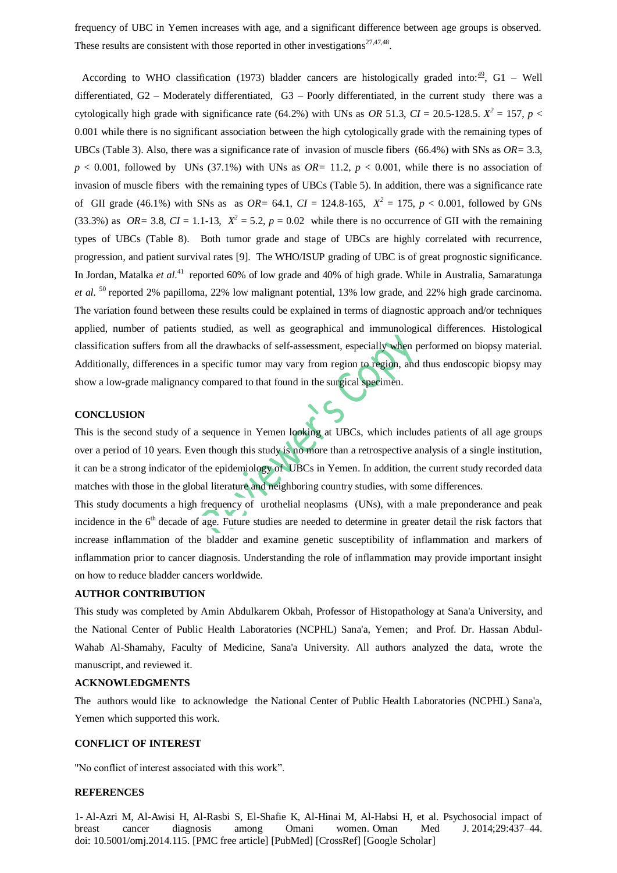frequency of UBC in Yemen increases with age, and a significant difference between age groups is observed. These results are consistent with those reported in other investigations<sup>27,47,48</sup>.

According to WHO classification (1973) bladder cancers are histologically graded into: $\frac{49}{7}$  $\frac{49}{7}$  $\frac{49}{7}$ , G1 – Well differentiated, G2 – Moderately differentiated, G3 – Poorly differentiated, in the current study there was a cytologically high grade with significance rate (64.2%) with UNs as *OR* 51.3, *CI* = 20.5-128.5.  $X^2 = 157$ ,  $p <$ 0.001 while there is no significant association between the high cytologically grade with the remaining types of UBCs (Table 3). Also, there was a significance rate of invasion of muscle fibers (66.4%) with SNs as *OR=* 3.3,  $p < 0.001$ , followed by UNs (37.1%) with UNs as  $OR = 11.2$ ,  $p < 0.001$ , while there is no association of invasion of muscle fibers with the remaining types of UBCs (Table 5). In addition, there was a significance rate of GII grade (46.1%) with SNs as as  $OR = 64.1$ ,  $CI = 124.8-165$ ,  $X^2 = 175$ ,  $p < 0.001$ , followed by GNs (33.3%) as *OR* = 3.8, *CI* = 1.1-13,  $X^2 = 5.2$ ,  $p = 0.02$  while there is no occurrence of GII with the remaining types of UBCs (Table 8). Both tumor grade and stage of UBCs are highly correlated with recurrence, progression, and patient survival rates [9]. The WHO/ISUP grading of UBC is of great prognostic significance. In Jordan, Matalka *et al*.<sup>41</sup> reported 60% of low grade and 40% of high grade. While in Australia, Samaratunga *et al.* <sup>50</sup> reported 2% papilloma, 22% low malignant potential, 13% low grade, and 22% high grade carcinoma. The variation found between these results could be explained in terms of diagnostic approach and/or techniques applied, number of patients studied, as well as geographical and immunological differences. Histological classification suffers from all the drawbacks of self-assessment, especially when performed on biopsy material. Additionally, differences in a specific tumor may vary from region to region, and thus endoscopic biopsy may show a low-grade malignancy compared to that found in the surgical specimen.

### **CONCLUSION**

This is the second study of a sequence in Yemen looking at UBCs, which includes patients of all age groups over a period of 10 years. Even though this study is no more than a retrospective analysis of a single institution, it can be a strong indicator of the epidemiology of UBCs in Yemen. In addition, the current study recorded data matches with those in the global literature and neighboring country studies, with some differences.

This study documents a high frequency of urothelial neoplasms (UNs), with a male preponderance and peak incidence in the  $6<sup>th</sup>$  decade of age. Future studies are needed to determine in greater detail the risk factors that increase inflammation of the bladder and examine genetic susceptibility of inflammation and markers of inflammation prior to cancer diagnosis. Understanding the role of inflammation may provide important insight on how to reduce bladder cancers worldwide.

#### **AUTHOR CONTRIBUTION**

This study was completed by Amin Abdulkarem Okbah, Professor of Histopathology at Sana'a University, and the National Center of Public Health Laboratories (NCPHL) Sana'a, Yemen; and Prof. Dr. Hassan Abdul-Wahab Al-Shamahy, Faculty of Medicine, Sana'a University. All authors analyzed the data, wrote the manuscript, and reviewed it.

### **ACKNOWLEDGMENTS**

The authors would like to acknowledge the National Center of Public Health Laboratories (NCPHL) Sana'a, Yemen which supported this work.

#### **CONFLICT OF INTEREST**

"No conflict of interest associated with this work".

#### **REFERENCES**

1- Al-Azri M, Al-Awisi H, Al-Rasbi S, El-Shafie K, Al-Hinai M, Al-Habsi H, et al. Psychosocial impact of breast cancer diagnosis among Omani women. Oman Med J. 2014;29:437–44. doi: 10.5001/omj.2014.115. [\[PMC free article\]](https://www.ncbi.nlm.nih.gov/pmc/articles/PMC4289498/) [\[PubMed\]](https://www.ncbi.nlm.nih.gov/pubmed/25584162) [\[CrossRef\]](https://dx.doi.org/10.5001%2Fomj.2014.115) [\[Google Scholar\]](https://scholar.google.com/scholar_lookup?journal=Oman+Med+J&title=Psychosocial+impact+of+breast+cancer+diagnosis+among+Omani+women&author=M+Al-Azri&author=H+Al-Awisi&author=S+Al-Rasbi&author=K+El-Shafie&author=M+Al-Hinai&volume=29&publication_year=2014&pages=437-44&pmid=25584162&doi=10.5001/omj.2014.115&)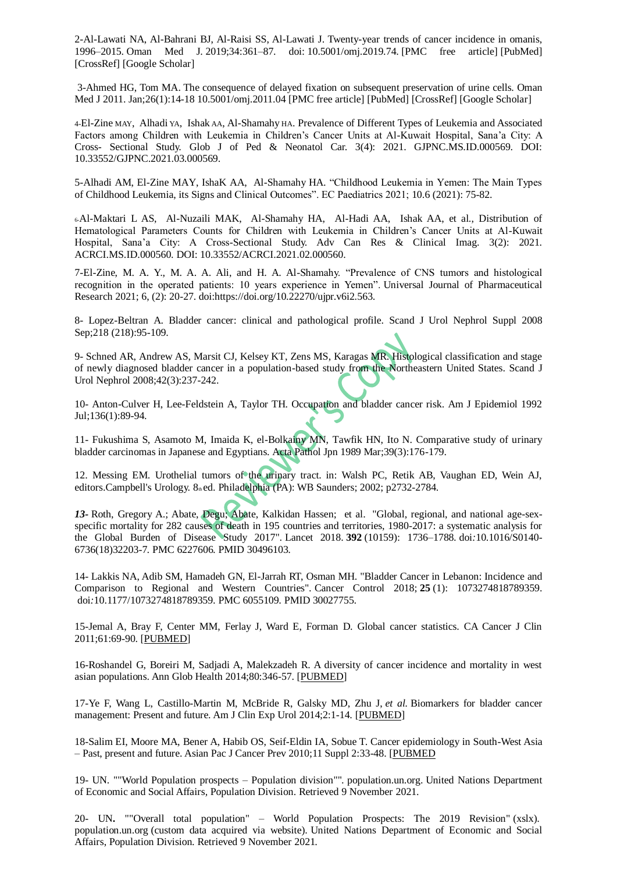2-Al-Lawati NA, Al-Bahrani BJ, Al-Raisi SS, Al-Lawati J. Twenty-year trends of cancer incidence in omanis, 1996–2015. Oman Med J. 2019;34:361–87. doi: 10.5001/omj.2019.74. [\[PMC free article\]](https://www.ncbi.nlm.nih.gov/pmc/articles/PMC6642706/) [\[PubMed\]](https://www.ncbi.nlm.nih.gov/pubmed/31360330) [\[CrossRef\]](https://dx.doi.org/10.5001%2Fomj.2019.74) [\[Google Scholar\]](https://scholar.google.com/scholar_lookup?journal=Oman+Med+J&title=Twenty-year+trends+of+cancer+incidence+in+omanis,+1996%E2%80%932015&author=NA+Al-Lawati&author=BJ+Al-Bahrani&author=SS+Al-Raisi&author=J+Al-Lawati&volume=34&publication_year=2019&pages=361-87&pmid=31360330&doi=10.5001/omj.2019.74&)

3-Ahmed HG, Tom MA. The consequence of delayed fixation on subsequent preservation of urine cells. Oman Med J 2011. Jan;26(1):14-18 10.5001/omj.2011.04 [\[PMC free article\]](https://www.ncbi.nlm.nih.gov/pmc/articles/PMC3191613/) [\[PubMed\]](https://www.ncbi.nlm.nih.gov/pubmed/22043372) [\[CrossRef\]](https://dx.doi.org/10.5001%2Fomj.2011.04) [\[Google Scholar\]](https://scholar.google.com/scholar_lookup?journal=Oman+Med+J&title=The+consequence+of+delayed+fixation+on+subsequent+preservation+of+urine+cells.&author=HG+Ahmed&author=MA+Tom&volume=26&issue=1&publication_year=2011&pages=14-18&pmid=22043372&doi=10.5001/omj.2011.04&)

4-El-Zine MAY, Alhadi YA, Ishak AA, Al-Shamahy HA. Prevalence of Different Types of Leukemia and Associated Factors among Children with Leukemia in Children's Cancer Units at Al-Kuwait Hospital, Sana'a City: A Cross- Sectional Study. Glob J of Ped & Neonatol Car. 3(4): 2021. GJPNC.MS.ID.000569. DOI: 10.33552/GJPNC.2021.03.000569.

5-Alhadi AM, El-Zine MAY, IshaK AA, Al-Shamahy HA*.* "Childhood Leukemia in Yemen: The Main Types of Childhood Leukemia, its Signs and Clinical Outcomes". EC Paediatrics 2021; 10.6 (2021): 75-82.

6-Al-Maktari L AS, Al-Nuzaili MAK, Al-Shamahy HA, Al-Hadi AA, Ishak AA, et al., Distribution of Hematological Parameters Counts for Children with Leukemia in Children's Cancer Units at Al-Kuwait Hospital, Sana'a City: A Cross-Sectional Study. Adv Can Res & Clinical Imag. 3(2): 2021. ACRCI.MS.ID.000560. DOI: 10.33552/ACRCI.2021.02.000560.

7-El-Zine, M. A. Y., M. A. A. Ali, and H. A. Al-Shamahy. "Prevalence of CNS tumors and histological recognition in the operated patients: 10 years experience in Yemen". Universal Journal of Pharmaceutical Research 2021; 6, (2): 20-27. doi:https://doi.org/10.22270/ujpr.v6i2.563.

8- Lopez-Beltran A. Bladder cancer: clinical and pathological profile. Scand J Urol Nephrol Suppl 2008 Sep;218 (218):95-109.

9- Schned AR, Andrew AS, Marsit CJ, Kelsey KT, Zens MS, Karagas MR. Histological classification and stage of newly diagnosed bladder cancer in a population-based study from the Northeastern United States. Scand J Urol Nephrol 2008;42(3):237-242.

10- Anton-Culver H, Lee-Feldstein A, Taylor TH. Occupation and bladder cancer risk. Am J Epidemiol 1992 Jul;136(1):89-94.

11- Fukushima S, Asamoto M, Imaida K, el-Bolkainy MN, Tawfik HN, Ito N. Comparative study of urinary bladder carcinomas in Japanese and Egyptians. Acta Pathol Jpn 1989 Mar;39(3):176-179.

12. Messing EM. Urothelial tumors of the urinary tract. in: Walsh PC, Retik AB, Vaughan ED, Wein AJ, editors.Campbell's Urology. 8th ed. Philadelphia (PA): WB Saunders; 2002; p2732-2784.

*13-* Roth, Gregory A.; Abate, Degu; Abate, Kalkidan Hassen; et al. ["Global, regional, and national age-sex](https://www.ncbi.nlm.nih.gov/pmc/articles/PMC6227606)[specific mortality for 282 causes of death in 195 countries and territories, 1980-2017: a systematic analysis for](https://www.ncbi.nlm.nih.gov/pmc/articles/PMC6227606)  [the Global Burden of Disease Study 2017"](https://www.ncbi.nlm.nih.gov/pmc/articles/PMC6227606)*.* Lancet 2018. **392** (10159): 1736–1788*.* [doi](https://en.wikipedia.org/wiki/Doi_(identifier))*:*[10.1016/S0140-](https://doi.org/10.1016%2FS0140-6736%2818%2932203-7) [6736\(18\)32203-7](https://doi.org/10.1016%2FS0140-6736%2818%2932203-7)*.* [PMC](https://en.wikipedia.org/wiki/PMC_(identifier)) [6227606](https://www.ncbi.nlm.nih.gov/pmc/articles/PMC6227606)*.* [PMID](https://en.wikipedia.org/wiki/PMID_(identifier)) [30496103](https://pubmed.ncbi.nlm.nih.gov/30496103)*.*

14- Lakkis NA, Adib SM, Hamadeh GN, El-Jarrah RT, Osman MH. ["Bladder Cancer in Lebanon: Incidence and](https://www.ncbi.nlm.nih.gov/pmc/articles/PMC6055109)  [Comparison to Regional and Western Countries"](https://www.ncbi.nlm.nih.gov/pmc/articles/PMC6055109)*.* Cancer Control 2018; **25** (1): 1073274818789359. [doi](https://en.wikipedia.org/wiki/Doi_(identifier))*:*[10.1177/1073274818789359](https://doi.org/10.1177%2F1073274818789359)*.* [PMC](https://en.wikipedia.org/wiki/PMC_(identifier)) [6055109](https://www.ncbi.nlm.nih.gov/pmc/articles/PMC6055109)*.* [PMID](https://en.wikipedia.org/wiki/PMID_(identifier)) [30027755](https://pubmed.ncbi.nlm.nih.gov/30027755)*.*

15-Jemal A, Bray F, Center MM, Ferlay J, Ward E, Forman D. Global cancer statistics. CA Cancer J Clin 2011;61:69-90. [\[PUBMED\]](https://www.medknow.com/crt.asp?prn=3;aid=JCanResTher_2018_14_3_532_172134;rt=P;u=http://www.ncbi.nlm.nih.gov/entrez/query.fcgi?cmd=Retrieve&db=PubMed&list_uids=21296855&dopt=Abstract)

16-Roshandel G, Boreiri M, Sadjadi A, Malekzadeh R. A diversity of cancer incidence and mortality in west asian populations. Ann Glob Health 2014;80:346-57. [\[PUBMED\]](https://www.medknow.com/crt.asp?prn=11;aid=JCanResTher_2018_14_3_532_172134;rt=P;u=http://www.ncbi.nlm.nih.gov/entrez/query.fcgi?cmd=Retrieve&db=PubMed&list_uids=25512150&dopt=Abstract)

17-Ye F, Wang L, Castillo-Martin M, McBride R, Galsky MD, Zhu J, *et al.* Biomarkers for bladder cancer management: Present and future. Am J Clin Exp Urol 2014;2:1-14. [\[PUBMED\]](https://www.medknow.com/crt.asp?prn=15;aid=JCanResTher_2018_14_3_532_172134;rt=P;u=http://www.ncbi.nlm.nih.gov/entrez/query.fcgi?cmd=Retrieve&db=PubMed&list_uids=25374904&dopt=Abstract)

18-Salim EI, Moore MA, Bener A, Habib OS, Seif-Eldin IA, Sobue T. Cancer epidemiology in South-West Asia – Past, present and future. Asian Pac J Cancer Prev 2010;11 Suppl 2:33-48. [\[PUBMED](https://www.medknow.com/crt.asp?prn=16;aid=JCanResTher_2018_14_3_532_172134;rt=P;u=http://www.ncbi.nlm.nih.gov/entrez/query.fcgi?cmd=Retrieve&db=PubMed&list_uids=20553067&dopt=Abstract)

19- UN. [""World Population prospects –](https://population.un.org/wpp/) Population division""*.* population.un.org. [United Nations Department](https://en.wikipedia.org/wiki/United_Nations_Department_of_Economic_and_Social_Affairs)  [of Economic and Social Affairs](https://en.wikipedia.org/wiki/United_Nations_Department_of_Economic_and_Social_Affairs)*,* Population Division. Retrieved 9 November 2021.

20- UN**.** ""Overall total population" – [World Population Prospects: The 2019 Revision"](https://population.un.org/wpp/Download/Files/1_Indicators%20(Standard)/EXCEL_FILES/1_Population/WPP2019_POP_F01_1_TOTAL_POPULATION_BOTH_SEXES.xlsx) (xslx)*.* population.un.org (custom data acquired via website). [United Nations Department of Economic and Social](https://en.wikipedia.org/wiki/United_Nations_Department_of_Economic_and_Social_Affairs)  [Affairs,](https://en.wikipedia.org/wiki/United_Nations_Department_of_Economic_and_Social_Affairs) Population Division*.* Retrieved 9 November 2021*.*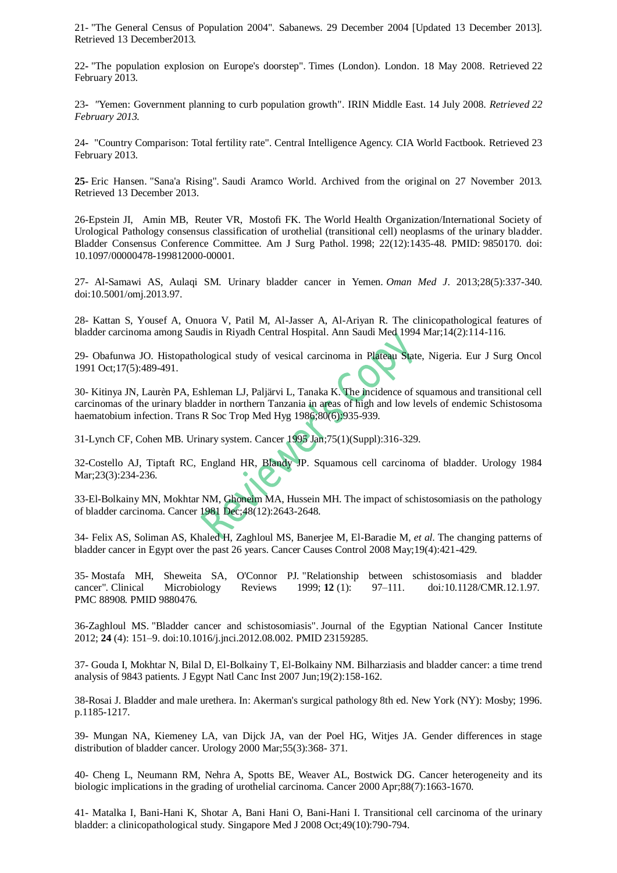21- "The General Census of Population 2004"*.* Sabanews. 29 December 2004 [Updated 13 December 2013]*.* Retrieved [13 December2013](http://www.sabanews.net/en/news85385.htm)*.*

22**-** ["The population explosion on Europe's doorstep"](http://entertainment.timesonline.co.uk/tol/arts_and_entertainment/books/article3952775.ece)*.* Times (London). London. 18 May 2008. Retrieved 22 February 2013*.*

23**-** *"*[Yemen: Government planning to curb population growth".](http://irinnews.org/Report.aspx?ReportId=79232) IRIN Middle East. 14 July 2008*. Retrieved 22 February 2013.*

24**-** ["Country Comparison: Total fertility rate"](https://www.cia.gov/library/publications/the-world-factbook/rankorder/2127rank.html)*.* Central Intelligence Agency. CIA World Factbook*.* Retrieved 23 February 2013*.*

**25-** Eric Hansen. ["Sana'a Rising"](https://web.archive.org/web/20131127165256/http:/www.saudiaramcoworld.com/issue/200601/sana.a.rising.htm)*.* [Saudi Aramco World.](https://en.wikipedia.org/wiki/Saudi_Aramco_World) Archived from [the original](http://www.saudiaramcoworld.com/issue/200601/sana.a.rising.htm) on 27 November 2013*.*  Retrieved 13 December 2013.

26-Epstein JI, [Amin](https://pubmed.ncbi.nlm.nih.gov/?term=Amin+MB&cauthor_id=9850170) MB, [Reuter](https://pubmed.ncbi.nlm.nih.gov/?term=Reuter+VR&cauthor_id=9850170) VR, [Mostofi](https://pubmed.ncbi.nlm.nih.gov/?term=Mostofi+FK&cauthor_id=9850170) FK. The World Health Organization/International Society of Urological Pathology consensus classification of urothelial (transitional cell) neoplasms of the urinary bladder. Bladder Consensus Conference Committee. Am J Surg Pathol. 1998; 22(12):1435-48. PMID: 9850170. doi: 10.1097/00000478-199812000-00001.

27- Al-Samawi AS, Aulaqi SM. Urinary bladder cancer in Yemen. *Oman Med J*. 2013;28(5):337-340. doi:10.5001/omj.2013.97.

28- Kattan S, Yousef A, Onuora V, Patil M, Al-Jasser A, Al-Ariyan R. The clinicopathological features of bladder carcinoma among Saudis in Riyadh Central Hospital. Ann Saudi Med 1994 Mar;14(2):114-116.

29- Obafunwa JO. Histopathological study of vesical carcinoma in Plateau State, Nigeria. Eur J Surg Oncol 1991 Oct;17(5):489-491.

30- Kitinya JN, Laurèn PA, Eshleman LJ, Paljärvi L, Tanaka K. The incidence of squamous and transitional cell carcinomas of the urinary bladder in northern Tanzania in areas of high and low levels of endemic Schistosoma haematobium infection. Trans R Soc Trop Med Hyg 1986;80(6):935-939.

31-Lynch CF, Cohen MB. Urinary system. Cancer 1995 Jan;75(1)(Suppl):316-329.

32-Costello AJ, Tiptaft RC, England HR, Blandy JP. Squamous cell carcinoma of bladder. Urology 1984 Mar; 23(3): 234-236.

33-El-Bolkainy MN, Mokhtar NM, Ghoneim MA, Hussein MH. The impact of schistosomiasis on the pathology of bladder carcinoma. Cancer 1981 Dec;48(12):2643-2648.

34- Felix AS, Soliman AS, Khaled H, Zaghloul MS, Banerjee M, El-Baradie M, *et al.* The changing patterns of bladder cancer in Egypt over the past 26 years. Cancer Causes Control 2008 May;19(4):421-429.

35- Mostafa MH, Sheweita SA, O'Connor PJ*.* ["Relationship between schistosomiasis and bladder](https://www.ncbi.nlm.nih.gov/pmc/articles/PMC88908)  [cancer"](https://www.ncbi.nlm.nih.gov/pmc/articles/PMC88908)*.* Clinical Microbiology Reviews 1999; **12** (1): 97–111. [doi](https://en.wikipedia.org/wiki/Doi_(identifier))*:*[10.1128/CMR.12.1.97](https://doi.org/10.1128%2FCMR.12.1.97)*.* [PMC](https://en.wikipedia.org/wiki/PMC_(identifier)) [88908](https://www.ncbi.nlm.nih.gov/pmc/articles/PMC88908)*.* [PMID](https://en.wikipedia.org/wiki/PMID_(identifier)) [9880476](https://pubmed.ncbi.nlm.nih.gov/9880476)*.*

36-Zaghloul MS. ["Bladder cancer and schistosomiasis".](https://doi.org/10.1016%2Fj.jnci.2012.08.002) Journal of the Egyptian National Cancer Institute 2012; **24** (4): 151–9. [doi](https://en.wikipedia.org/wiki/Doi_(identifier))[:10.1016/j.jnci.2012.08.002.](https://doi.org/10.1016%2Fj.jnci.2012.08.002) [PMID](https://en.wikipedia.org/wiki/PMID_(identifier)) [23159285.](https://pubmed.ncbi.nlm.nih.gov/23159285)

37- Gouda I, Mokhtar N, Bilal D, El-Bolkainy T, El-Bolkainy NM. Bilharziasis and bladder cancer: a time trend analysis of 9843 patients. J Egypt Natl Canc Inst 2007 Jun;19(2):158-162.

38-Rosai J. Bladder and male urethera. In: Akerman's surgical pathology 8th ed. New York (NY): Mosby; 1996. p.1185-1217.

39- Mungan NA, Kiemeney LA, van Dijck JA, van der Poel HG, Witjes JA. Gender differences in stage distribution of bladder cancer. Urology 2000 Mar;55(3):368- 371.

40- Cheng L, Neumann RM, Nehra A, Spotts BE, Weaver AL, Bostwick DG. Cancer heterogeneity and its biologic implications in the grading of urothelial carcinoma. Cancer 2000 Apr;88(7):1663-1670.

41- Matalka I, Bani-Hani K, Shotar A, Bani Hani O, Bani-Hani I. Transitional cell carcinoma of the urinary bladder: a clinicopathological study. Singapore Med J 2008 Oct;49(10):790-794.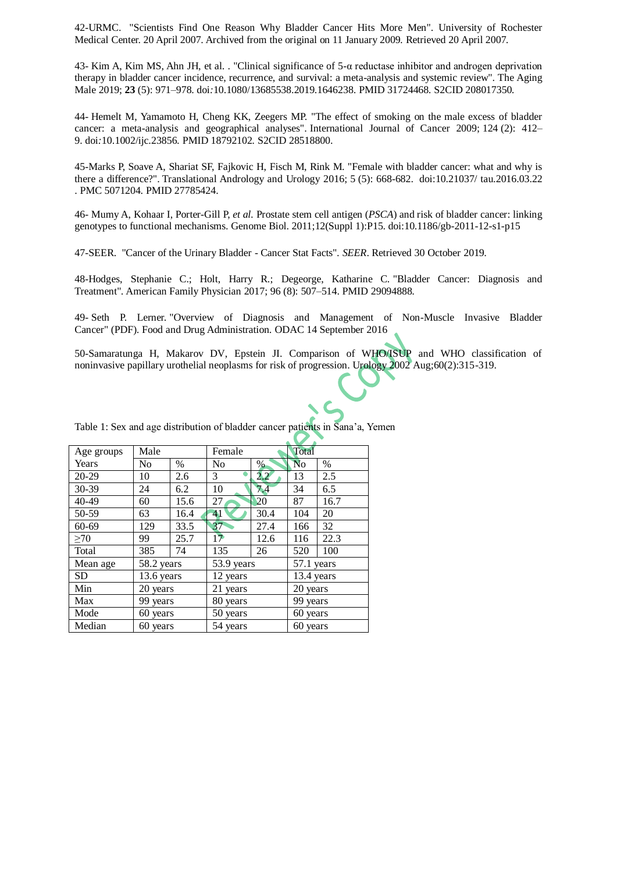42-URMC. "Scientists Find One Reason Why Bladder Cancer Hits More Men". University of Rochester Medical Ce[nter. 20 April 2007. Archived from](https://web.archive.org/web/20090111011106/http:/www.urmc.rochester.edu/pr/news/story.cfm?id=1436) the original on 11 January 2009*.* Retrieved 20 April 2007*.*

43- Kim A, Kim MS, Ahn JH, et al. . "Clinical significance of 5-α reductase inhibitor and androgen deprivation therapy in bladder cancer incidence, recurrence, and survival: a meta-analysis and systemic review". The Aging Male 2019; **23** (5): 971–978. [doi](https://en.wikipedia.org/wiki/Doi_(identifier))*:*[10.1080/13685538.2019.1646238](https://doi.org/10.1080%2F13685538.2019.1646238)*.* [PMID](https://en.wikipedia.org/wiki/PMID_(identifier)) [31724468](https://pubmed.ncbi.nlm.nih.gov/31724468)*.* [S2CID](https://en.wikipedia.org/wiki/S2CID_(identifier)) [208017350](https://api.semanticscholar.org/CorpusID:208017350)*.*

44- Hemelt M, Yamamoto H, Cheng KK, Zeegers MP. "The effect of smoking on the male excess of bladder cancer: a meta-analysis and geographical analyses". International Journal of Cancer 2009; 124 (2): 412– 9. [doi](https://en.wikipedia.org/wiki/Doi_(identifier))*:*[10.1002/ijc.23856](https://doi.org/10.1002%2Fijc.23856)*.* [PMID](https://en.wikipedia.org/wiki/PMID_(identifier)) [18792102](https://pubmed.ncbi.nlm.nih.gov/18792102)*.* [S2CID](https://en.wikipedia.org/wiki/S2CID_(identifier)) [28518800.](https://api.semanticscholar.org/CorpusID:28518800)

45-Marks P, Soave A, Shariat SF, Fajkovic H, Fisch M, Rink M. ["Female with bladder cancer: what and why is](https://www.ncbi.nlm.nih.gov/pmc/articles/PMC5071204)  [there a difference?".](https://www.ncbi.nlm.nih.gov/pmc/articles/PMC5071204) Translational Andrology and Urology 2016; 5 (5): 668-682. [doi:](https://en.wikipedia.org/wiki/Doi_(identifier))[10.21037/ tau.2016.03.22](https://doi.org/10.21037%2Ftau.2016.03.22) . [PMC](https://en.wikipedia.org/wiki/PMC_(identifier)) [5071204.](https://www.ncbi.nlm.nih.gov/pmc/articles/PMC5071204) [PMID](https://en.wikipedia.org/wiki/PMID_(identifier)) [27785424.](https://pubmed.ncbi.nlm.nih.gov/27785424)

46- Mumy A, Kohaar I, Porter-Gill P, *et al.* Prostate stem cell antigen (*PSCA*) and risk of bladder cancer: linking genotypes to functional mechanisms. Genome Biol. 2011;12(Suppl 1):P15. doi:10.1186/gb-2011-12-s1-p15

47-SEER. ["Cancer of the Urinary Bladder -](https://seer.cancer.gov/statfacts/html/urinb.html) Cancer Stat Facts"*. SEER*. Retrieved 30 October 2019*.*

48-Hodges, Stephanie C.; Holt, Harry R.; Degeorge, Katharine C. ["Bladder Cancer: Diagnosis and](https://www.aafp.org/afp/2017/1015/p507.html)  [Treatment"](https://www.aafp.org/afp/2017/1015/p507.html)*.* American Family Physician 2017; 96 (8): 507–514. [PMID](https://en.wikipedia.org/wiki/PMID_(identifier)) [29094888](https://pubmed.ncbi.nlm.nih.gov/29094888)*.*

49- Seth P. Lerner. ["Overview of Diagnosis and Management of Non-Muscle Invasive Bladder](https://www.fda.gov/downloads/AdvisoryCommittees/CommitteesMeetingMaterials/Drugs/OncologicDrugsAdvisoryCommittee/UCM522817.pdf)  [Cancer"](https://www.fda.gov/downloads/AdvisoryCommittees/CommitteesMeetingMaterials/Drugs/OncologicDrugsAdvisoryCommittee/UCM522817.pdf) (PDF)*.* [Food and Drug Administration](https://en.wikipedia.org/wiki/Food_and_Drug_Administration)*.* ODAC 14 September 2016

50-Samaratunga H, Makarov DV, Epstein JI. Comparison of WHO/ISUP and WHO classification of noninvasive papillary urothelial neoplasms for risk of progression. Urology 2002 Aug;60(2):315-319.

| Age groups | Male       |      | Female          |               | Total          |      |  |
|------------|------------|------|-----------------|---------------|----------------|------|--|
| Years      | No         | $\%$ | No              | %             | N <sub>0</sub> | $\%$ |  |
| $20 - 29$  | 10         | 2.6  | 3               | $2.2^{\circ}$ | 13             | 2.5  |  |
| $30 - 39$  | 24         | 6.2  | 10              | 7.4           | 34             | 6.5  |  |
| 40-49      | 60         | 15.6 | 27              | 20            | 87             | 16.7 |  |
| 50-59      | 63         | 16.4 | 41              | 30.4          | 104            | 20   |  |
| $60 - 69$  | 129        | 33.5 | 37 <sup>°</sup> | 27.4          | 166            | 32   |  |
| $\geq 70$  | 99         | 25.7 | 17 <sup>°</sup> | 12.6          | 116            | 22.3 |  |
| Total      | 385        | 74   | 135             | 26            | 520            | 100  |  |
| Mean age   | 58.2 years |      | 53.9 years      |               | 57.1 years     |      |  |
| <b>SD</b>  | 13.6 years |      | 12 years        |               | 13.4 years     |      |  |
| Min        | 20 years   |      | 21 years        |               | 20 years       |      |  |
| Max        | 99 years   |      | 80 years        |               | 99 years       |      |  |
| Mode       | 60 years   |      | 50 years        |               | 60 years       |      |  |
| Median     | 60 years   |      | 54 years        |               | 60 years       |      |  |

Table 1: Sex and age distribution of bladder cancer patients in Sana'a, Yemen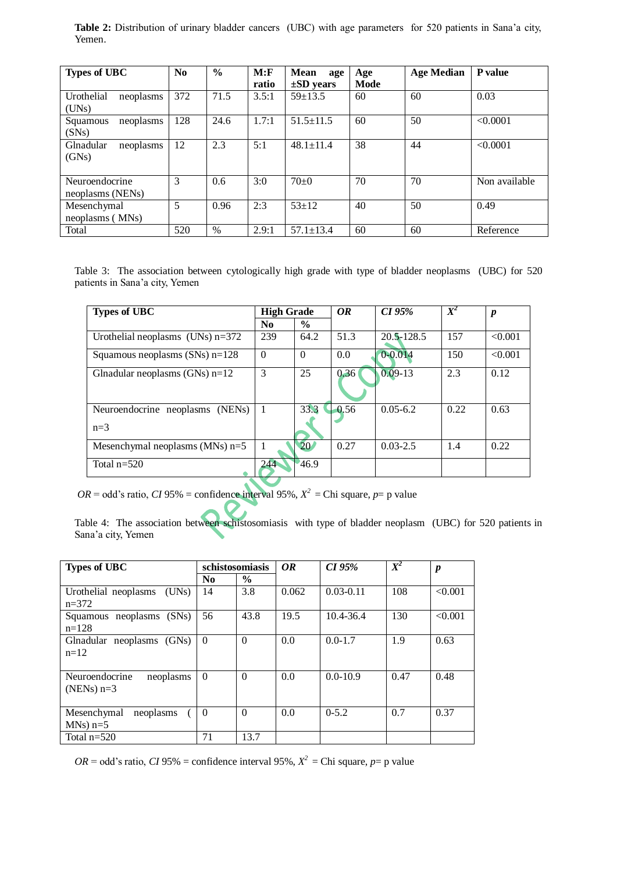| <b>Types of UBC</b>     | N <sub>0</sub> | $\frac{0}{0}$ | M: F  | <b>Mean</b><br>age | Age  | <b>Age Median</b> | <b>P</b> value |
|-------------------------|----------------|---------------|-------|--------------------|------|-------------------|----------------|
|                         |                |               | ratio | $\pm SD$ years     | Mode |                   |                |
| Urothelial<br>neoplasms | 372            | 71.5          | 3.5:1 | $59+13.5$          | 60   | 60                | 0.03           |
| (UNs)                   |                |               |       |                    |      |                   |                |
| neoplasms<br>Squamous   | 128            | 24.6          | 1.7:1 | $51.5 \pm 11.5$    | 60   | 50                | < 0.0001       |
| (SNs)                   |                |               |       |                    |      |                   |                |
| Glnadular<br>neoplasms  | 12             | 2.3           | 5:1   | $48.1 \pm 11.4$    | 38   | 44                | < 0.0001       |
| (GNs)                   |                |               |       |                    |      |                   |                |
|                         |                |               |       |                    |      |                   |                |
| Neuroendocrine          | 3              | 0.6           | 3:0   | $70+0$             | 70   | 70                | Non available  |
| neoplasms (NENs)        |                |               |       |                    |      |                   |                |
| Mesenchymal             | 5              | 0.96          | 2:3   | $53 \pm 12$        | 40   | 50                | 0.49           |
| neoplasms (MNs)         |                |               |       |                    |      |                   |                |
| Total                   | 520            | %             | 2.9:1 | $57.1 \pm 13.4$    | 60   | 60                | Reference      |

Table 2: Distribution of urinary bladder cancers (UBC) with age parameters for 520 patients in Sana'a city, Yemen.

Table 3: The association between cytologically high grade with type of bladder neoplasms (UBC) for 520 patients in Sana'a city, Yemen

| <b>Types of UBC</b>                      | <b>High Grade</b> |               | OR   | $CI$ 95%       | $\overline{X}^2$ | $\boldsymbol{p}$ |
|------------------------------------------|-------------------|---------------|------|----------------|------------------|------------------|
|                                          | No                | $\frac{0}{0}$ |      |                |                  |                  |
| Urothelial neoplasms (UNs) $n=372$       | 239               | 64.2          | 51.3 | $20.5 - 128.5$ | 157              | < 0.001          |
| Squamous neoplasms $(SNs)$ n=128         | $\Omega$          | $\Omega$      | 0.0  | $0 - 0.014$    | 150              | < 0.001          |
| Glnadular neoplasms $(GNs)$ n=12         | 3                 | 25            | 0.36 | $0.09 - 13$    | 2.3              | 0.12             |
| Neuroendocrine neoplasms (NENs)<br>$n=3$ | 1                 | 33.3          | 0.56 | $0.05 - 6.2$   | 0.22             | 0.63             |
| Mesenchymal neoplasms (MNs) $n=5$        |                   | 20            | 0.27 | $0.03 - 2.5$   | 1.4              | 0.22             |
| Total $n=520$                            | 244               | 46.9          |      |                |                  |                  |

 $OR =$  odd's ratio,  $CI$  95% = confidence interval 95%,  $X^2 =$ Chi square,  $p =$  p value

z

Table 4: The association between schistosomiasis with type of bladder neoplasm (UBC) for 520 patients in Sana'a city, Yemen

| <b>Types of UBC</b>           | schistosomiasis |          | OR    | $CI$ 95%      | $X^2$ | $\boldsymbol{p}$ |
|-------------------------------|-----------------|----------|-------|---------------|-------|------------------|
|                               | N <sub>0</sub>  | $\%$     |       |               |       |                  |
| Urothelial neoplasms<br>(UNs) | 14              | 3.8      | 0.062 | $0.03 - 0.11$ | 108   | < 0.001          |
| $n=372$                       |                 |          |       |               |       |                  |
| Squamous neoplasms (SNs)      | 56              | 43.8     | 19.5  | 10.4-36.4     | 130   | < 0.001          |
| $n=128$                       |                 |          |       |               |       |                  |
| Glnadular neoplasms (GNs)     | $\Omega$        | $\theta$ | 0.0   | $0.0 - 1.7$   | 1.9   | 0.63             |
| $n=12$                        |                 |          |       |               |       |                  |
|                               |                 |          |       |               |       |                  |
| Neuroendocrine<br>neoplasms   | $\Omega$        | $\Omega$ | 0.0   | $0.0 - 10.9$  | 0.47  | 0.48             |
| (NENs) $n=3$                  |                 |          |       |               |       |                  |
|                               |                 |          |       |               |       |                  |
| neoplasms<br>Mesenchymal      | $\Omega$        | $\theta$ | 0.0   | $0 - 5.2$     | 0.7   | 0.37             |
| $MNs$ ) n=5                   |                 |          |       |               |       |                  |
| Total $n=520$                 | 71              | 13.7     |       |               |       |                  |

 $OR = odd$ 's ratio, *CI* 95% = confidence interval 95%,  $X^2 =$ Chi square, *p*= *p* value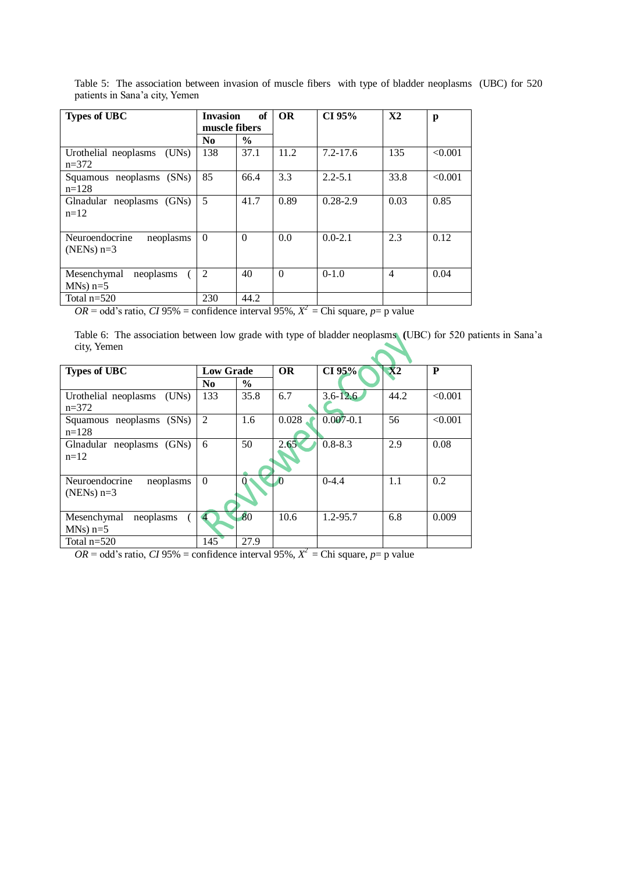| <b>Types of UBC</b>                         | of<br><b>Invasion</b><br>muscle fibers |               | <b>OR</b> | CI 95%       | X2             | p       |
|---------------------------------------------|----------------------------------------|---------------|-----------|--------------|----------------|---------|
|                                             | N <sub>0</sub>                         | $\frac{0}{0}$ |           |              |                |         |
| Urothelial neoplasms<br>(UNs)<br>$n=372$    | 138                                    | 37.1          | 11.2      | $7.2 - 17.6$ | 135            | < 0.001 |
| Squamous neoplasms (SNs)<br>$n=128$         | 85                                     | 66.4          | 3.3       | $2.2 - 5.1$  | 33.8           | < 0.001 |
| Glnadular neoplasms (GNs)<br>$n=12$         | 5                                      | 41.7          | 0.89      | $0.28 - 2.9$ | 0.03           | 0.85    |
| Neuroendocrine<br>neoplasms<br>(NENs) $n=3$ | $\Omega$                               | $\Omega$      | 0.0       | $0.0 - 2.1$  | 2.3            | 0.12    |
| Mesenchymal<br>neoplasms<br>$MNs$ ) n=5     | 2                                      | 40            | $\Omega$  | $0-1.0$      | $\overline{4}$ | 0.04    |
| Total $n=520$                               | 230                                    | 44.2          |           |              |                |         |

Table 5: The association between invasion of muscle fibers with type of bladder neoplasms (UBC) for 520 patients in Sana'a city, Yemen

 $OR = \text{odd's ratio}, CI 95\% = \text{confidence interval } 95\%, X^2 = \text{Chi square}, p = \text{p value}$ 

Table 6: The association between low grade with type of bladder neoplasms **(**UBC) for 520 patients in Sana'a city, Yemen

| <b>Types of UBC</b>           | <b>Low Grade</b> |               |           | $CI$ 95%      | $\overline{\mathbf{X2}}$ | P       |
|-------------------------------|------------------|---------------|-----------|---------------|--------------------------|---------|
|                               |                  |               | <b>OR</b> |               |                          |         |
|                               | N <sub>0</sub>   | $\frac{6}{9}$ |           |               |                          |         |
| Urothelial neoplasms<br>(UNs) | 133              | 35.8          | 6.7       | $3.6 - 12.6$  | 44.2                     | < 0.001 |
| $n=372$                       |                  |               |           |               |                          |         |
| Squamous neoplasms (SNs)      | 2                | 1.6           | 0.028     | $0.007 - 0.1$ | 56                       | < 0.001 |
| $n=128$                       |                  |               |           |               |                          |         |
| Glnadular neoplasms (GNs)     | 6                | 50            | 2.65      | $0.8 - 8.3$   | 2.9                      | 0.08    |
| $n=12$                        |                  |               |           |               |                          |         |
|                               |                  |               |           |               |                          |         |
| neoplasms<br>Neuroendocrine   | $\theta$         | $\Omega$      | O         | $0-4.4$       | 1.1                      | 0.2     |
| $(NENs)$ n=3                  |                  |               |           |               |                          |         |
|                               |                  |               |           |               |                          |         |
| Mesenchymal<br>neoplasms      |                  | 80            | 10.6      | $1.2 - 95.7$  | 6.8                      | 0.009   |
| $MNs$ ) n=5                   |                  |               |           |               |                          |         |
| Total $n=520$                 | 145              | 27.9          |           |               |                          |         |

 $OR = odd$ 's ratio, *CI* 95% = confidence interval 95%,  $X^2 =$ Chi square, *p*= *p* value